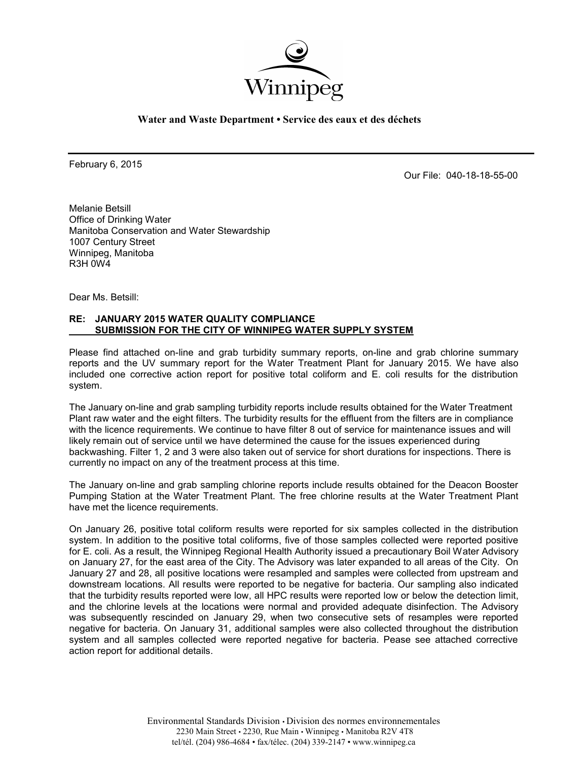

**Water and Waste Department • Service des eaux et des déchets**

February 6, 2015

Our File: 040-18-18-55-00

Melanie Betsill Office of Drinking Water Manitoba Conservation and Water Stewardship 1007 Century Street Winnipeg, Manitoba R3H 0W4

Dear Ms. Betsill:

## **RE: JANUARY 2015 WATER QUALITY COMPLIANCE SUBMISSION FOR THE CITY OF WINNIPEG WATER SUPPLY SYSTEM**

Please find attached on-line and grab turbidity summary reports, on-line and grab chlorine summary reports and the UV summary report for the Water Treatment Plant for January 2015. We have also included one corrective action report for positive total coliform and E. coli results for the distribution system.

The January on-line and grab sampling turbidity reports include results obtained for the Water Treatment Plant raw water and the eight filters. The turbidity results for the effluent from the filters are in compliance with the licence requirements. We continue to have filter 8 out of service for maintenance issues and will likely remain out of service until we have determined the cause for the issues experienced during backwashing. Filter 1, 2 and 3 were also taken out of service for short durations for inspections. There is currently no impact on any of the treatment process at this time.

The January on-line and grab sampling chlorine reports include results obtained for the Deacon Booster Pumping Station at the Water Treatment Plant. The free chlorine results at the Water Treatment Plant have met the licence requirements.

On January 26, positive total coliform results were reported for six samples collected in the distribution system. In addition to the positive total coliforms, five of those samples collected were reported positive for E. coli. As a result, the Winnipeg Regional Health Authority issued a precautionary Boil Water Advisory on January 27, for the east area of the City. The Advisory was later expanded to all areas of the City. On January 27 and 28, all positive locations were resampled and samples were collected from upstream and downstream locations. All results were reported to be negative for bacteria. Our sampling also indicated that the turbidity results reported were low, all HPC results were reported low or below the detection limit, and the chlorine levels at the locations were normal and provided adequate disinfection. The Advisory was subsequently rescinded on January 29, when two consecutive sets of resamples were reported negative for bacteria. On January 31, additional samples were also collected throughout the distribution system and all samples collected were reported negative for bacteria. Pease see attached corrective action report for additional details.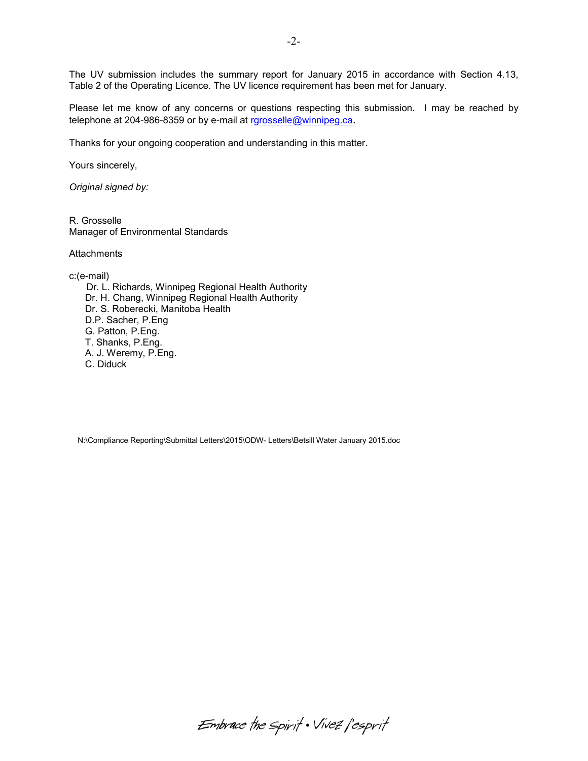The UV submission includes the summary report for January 2015 in accordance with Section 4.13, Table 2 of the Operating Licence. The UV licence requirement has been met for January.

Please let me know of any concerns or questions respecting this submission. I may be reached by telephone at 204-986-8359 or by e-mail at [rgrosselle@winnipeg.ca](mailto:rgrosselle@winnipeg.ca).

Thanks for your ongoing cooperation and understanding in this matter.

Yours sincerely,

*Original signed by:* 

R. Grosselle Manager of Environmental Standards

**Attachments** 

c:(e-mail)

 Dr. L. Richards, Winnipeg Regional Health Authority Dr. H. Chang, Winnipeg Regional Health Authority Dr. S. Roberecki, Manitoba Health D.P. Sacher, P.Eng G. Patton, P.Eng. T. Shanks, P.Eng. A. J. Weremy, P.Eng. C. Diduck

N:\Compliance Reporting\Submittal Letters\2015\ODW- Letters\Betsill Water January 2015.doc

Embrace the spirit . Vivez l'esprit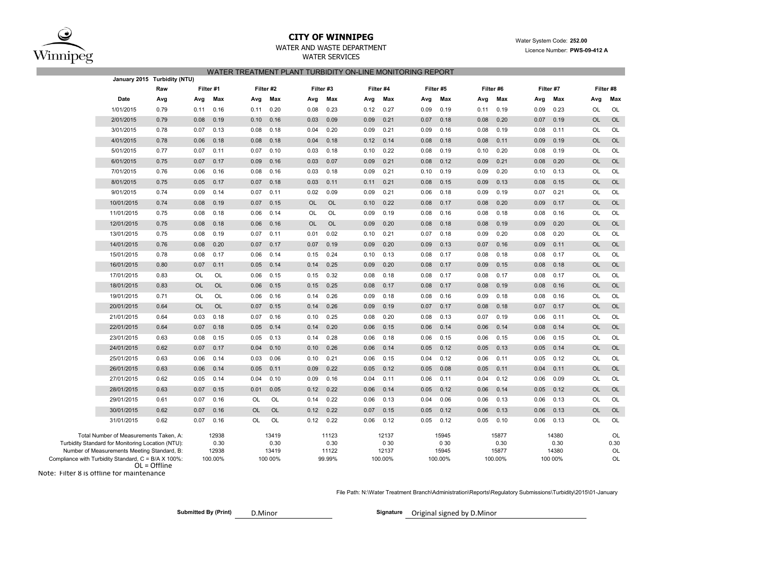

# **CITY OF WINNIPEG** WATER WATER WATER System Code: 252.00

## WATER SERVICES WATER TREATMENT PLANT TURBIDITY ON-LINE MONITORING REPORT

|                                                                                                                                                                                                                     | January 2015 Turbidity (NTU) |                                   |           |                                   |           |                                  |           |                                   |           |                                   |           |                                   |           |                                   |           |                        |
|---------------------------------------------------------------------------------------------------------------------------------------------------------------------------------------------------------------------|------------------------------|-----------------------------------|-----------|-----------------------------------|-----------|----------------------------------|-----------|-----------------------------------|-----------|-----------------------------------|-----------|-----------------------------------|-----------|-----------------------------------|-----------|------------------------|
| Raw                                                                                                                                                                                                                 |                              | Filter #1<br>Filter #2            |           |                                   | Filter #3 |                                  | Filter #4 |                                   | Filter #5 |                                   | Filter #6 |                                   | Filter #7 |                                   | Filter #8 |                        |
| Date<br>Avg                                                                                                                                                                                                         | Avg                          | Max                               | Avg       | Max                               | Avg       | Max                              | Avg       | Max                               | Avg       | Max                               | Avg       | Max                               | Avg       | Max                               | Avg       | Max                    |
| 1/01/2015<br>0.79                                                                                                                                                                                                   | 0.11                         | 0.16                              | 0.11      | 0.20                              | 0.08      | 0.23                             | 0.12      | 0.27                              | 0.09      | 0.19                              | 0.11      | 0.19                              | 0.09      | 0.23                              | OL        | OL                     |
| 2/01/2015<br>0.79                                                                                                                                                                                                   | 0.08                         | 0.19                              | 0.10      | 0.16                              | 0.03      | 0.09                             | 0.09      | 0.21                              | 0.07      | 0.18                              | 0.08      | 0.20                              | 0.07      | 0.19                              | <b>OL</b> | OL                     |
| 3/01/2015<br>0.78                                                                                                                                                                                                   | 0.07                         | 0.13                              | 0.08      | 0.18                              | 0.04      | 0.20                             | 0.09      | 0.21                              | 0.09      | 0.16                              | 0.08      | 0.19                              | 0.08      | 0.11                              | OL        | OL                     |
| 4/01/2015<br>0.78                                                                                                                                                                                                   | 0.06                         | 0.18                              | 0.08      | 0.18                              | 0.04      | 0.18                             | 0.12      | 0.14                              | 0.08      | 0.18                              | 0.08      | 0.11                              | 0.09      | 0.19                              | <b>OL</b> | OL                     |
| 5/01/2015<br>0.77                                                                                                                                                                                                   | 0.07                         | 0.11                              | 0.07      | 0.10                              | 0.03      | 0.18                             | 0.10      | 0.22                              | 0.08      | 0.19                              | 0.10      | 0.20                              | 0.08      | 0.19                              | OL        | OL                     |
| 6/01/2015<br>0.75                                                                                                                                                                                                   | 0.07                         | 0.17                              | 0.09      | 0.16                              | 0.03      | 0.07                             | 0.09      | 0.21                              | 0.08      | 0.12                              | 0.09      | 0.21                              | 0.08      | 0.20                              | OL        | OL                     |
| 7/01/2015<br>0.76                                                                                                                                                                                                   | 0.06                         | 0.16                              | 0.08      | 0.16                              | 0.03      | 0.18                             | 0.09      | 0.21                              | 0.10      | 0.19                              | 0.09      | 0.20                              | 0.10      | 0.13                              | OL        | OL                     |
| 8/01/2015<br>0.75                                                                                                                                                                                                   | 0.05                         | 0.17                              | 0.07      | 0.18                              | 0.03      | 0.11                             | 0.11      | 0.21                              | 0.08      | 0.15                              | 0.09      | 0.13                              | 0.08      | 0.15                              | <b>OL</b> | OL                     |
| 9/01/2015<br>0.74                                                                                                                                                                                                   | 0.09                         | 0.14                              | 0.07      | 0.11                              | 0.02      | 0.09                             | 0.09      | 0.21                              | 0.06      | 0.18                              | 0.09      | 0.19                              | 0.07      | 0.21                              | OL        | OL                     |
| 10/01/2015<br>0.74                                                                                                                                                                                                  | 0.08                         | 0.19                              | 0.07      | 0.15                              | <b>OL</b> | <b>OL</b>                        | 0.10      | 0.22                              | 0.08      | 0.17                              | 0.08      | 0.20                              | 0.09      | 0.17                              | <b>OL</b> | <b>OL</b>              |
| 11/01/2015<br>0.75                                                                                                                                                                                                  | 0.08                         | 0.18                              | 0.06      | 0.14                              | OL        | OL                               | 0.09      | 0.19                              | 0.08      | 0.16                              | 0.08      | 0.18                              | 0.08      | 0.16                              | OL        | OL                     |
| 12/01/2015<br>0.75                                                                                                                                                                                                  | 0.08                         | 0.18                              | 0.06      | 0.16                              | <b>OL</b> | <b>OL</b>                        | 0.09      | 0.20                              | 0.08      | 0.18                              | 0.08      | 0.19                              | 0.09      | 0.20                              | <b>OL</b> | OL                     |
| 13/01/2015<br>0.75                                                                                                                                                                                                  | 0.08                         | 0.19                              | 0.07      | 0.11                              | 0.01      | 0.02                             | 0.10      | 0.21                              | 0.07      | 0.18                              | 0.09      | 0.20                              | 0.08      | 0.20                              | <b>OL</b> | OL                     |
| 14/01/2015<br>0.76                                                                                                                                                                                                  | 0.08                         | 0.20                              | 0.07      | 0.17                              | 0.07      | 0.19                             | 0.09      | 0.20                              | 0.09      | 0.13                              | 0.07      | 0.16                              | 0.09      | 0.11                              | <b>OL</b> | OL                     |
| 15/01/2015<br>0.78                                                                                                                                                                                                  | 0.08                         | 0.17                              | 0.06      | 0.14                              | 0.15      | 0.24                             | 0.10      | 0.13                              | 0.08      | 0.17                              | 0.08      | 0.18                              | 0.08      | 0.17                              | <b>OL</b> | OL                     |
| 16/01/2015<br>0.80                                                                                                                                                                                                  | 0.07                         | 0.11                              | 0.05      | 0.14                              | 0.14      | 0.25                             | 0.09      | 0.20                              | 0.08      | 0.17                              | 0.09      | 0.15                              | 0.08      | 0.18                              | <b>OL</b> | <b>OL</b>              |
| 17/01/2015<br>0.83                                                                                                                                                                                                  | OL                           | OL                                | 0.06      | 0.15                              | 0.15      | 0.32                             | 0.08      | 0.18                              | 0.08      | 0.17                              | 0.08      | 0.17                              | 0.08      | 0.17                              | <b>OL</b> | OL                     |
| 0.83<br>18/01/2015                                                                                                                                                                                                  | <b>OL</b>                    | <b>OL</b>                         | 0.06      | 0.15                              | 0.15      | 0.25                             | 0.08      | 0.17                              | 0.08      | 0.17                              | 0.08      | 0.19                              | 0.08      | 0.16                              | <b>OL</b> | OL                     |
| 19/01/2015<br>0.71                                                                                                                                                                                                  | <b>OL</b>                    | OL                                | 0.06      | 0.16                              | 0.14      | 0.26                             | 0.09      | 0.18                              | 0.08      | 0.16                              | 0.09      | 0.18                              | 0.08      | 0.16                              | OL        | OL                     |
| 0.64<br>20/01/2015                                                                                                                                                                                                  | <b>OL</b>                    | <b>OL</b>                         | 0.07      | 0.15                              | 0.14      | 0.26                             | 0.09      | 0.19                              | 0.07      | 0.17                              | 0.08      | 0.18                              | 0.07      | 0.17                              | <b>OL</b> | <b>OL</b>              |
| 21/01/2015<br>0.64                                                                                                                                                                                                  | 0.03                         | 0.18                              | 0.07      | 0.16                              | 0.10      | 0.25                             | 0.08      | 0.20                              | 0.08      | 0.13                              | 0.07      | 0.19                              | 0.06      | 0.11                              | OL        | OL                     |
| 22/01/2015<br>0.64                                                                                                                                                                                                  | 0.07                         | 0.18                              | 0.05      | 0.14                              | 0.14      | 0.20                             | 0.06      | 0.15                              | 0.06      | 0.14                              | 0.06      | 0.14                              | 0.08      | 0.14                              | <b>OL</b> | <b>OL</b>              |
| 23/01/2015<br>0.63                                                                                                                                                                                                  | 0.08                         | 0.15                              | 0.05      | 0.13                              | 0.14      | 0.28                             | 0.06      | 0.18                              | 0.06      | 0.15                              | 0.06      | 0.15                              | 0.06      | 0.15                              | <b>OL</b> | OL                     |
| 24/01/2015<br>0.62                                                                                                                                                                                                  | 0.07                         | 0.17                              | 0.04      | 0.10                              | 0.10      | 0.26                             | 0.06      | 0.14                              | 0.05      | 0.12                              | 0.05      | 0.13                              | 0.05      | 0.14                              | <b>OL</b> | <b>OL</b>              |
| 25/01/2015<br>0.63                                                                                                                                                                                                  | 0.06                         | 0.14                              | 0.03      | 0.06                              | 0.10      | 0.21                             | 0.06      | 0.15                              | 0.04      | 0.12                              | 0.06      | 0.11                              | 0.05      | 0.12                              | <b>OL</b> | OL                     |
| 26/01/2015<br>0.63                                                                                                                                                                                                  | 0.06                         | 0.14                              | 0.05      | 0.11                              | 0.09      | 0.22                             | 0.05      | 0.12                              | 0.05      | 0.08                              | 0.05      | 0.11                              | 0.04      | 0.11                              | <b>OL</b> | <b>OL</b>              |
| 27/01/2015<br>0.62                                                                                                                                                                                                  | 0.05                         | 0.14                              | 0.04      | 0.10                              | 0.09      | 0.16                             | 0.04      | 0.11                              | 0.06      | 0.11                              | 0.04      | 0.12                              | 0.06      | 0.09                              | <b>OL</b> | OL                     |
| 28/01/2015<br>0.63                                                                                                                                                                                                  | 0.07                         | 0.15                              | 0.01      | 0.05                              | 0.12      | 0.22                             | 0.06      | 0.14                              | 0.05      | 0.12                              | 0.06      | 0.14                              | 0.05      | 0.12                              | <b>OL</b> | <b>OL</b>              |
| 29/01/2015<br>0.61                                                                                                                                                                                                  | 0.07                         | 0.16                              | OL        | OL                                | 0.14      | 0.22                             | 0.06      | 0.13                              | 0.04      | 0.06                              | 0.06      | 0.13                              | 0.06      | 0.13                              | OL        | OL                     |
| 30/01/2015<br>0.62                                                                                                                                                                                                  | 0.07                         | 0.16                              | <b>OL</b> | <b>OL</b>                         | 0.12      | 0.22                             | 0.07      | 0.15                              | 0.05      | 0.12                              | 0.06      | 0.13                              | 0.06      | 0.13                              | <b>OL</b> | <b>OL</b>              |
| 31/01/2015<br>0.62                                                                                                                                                                                                  | 0.07                         | 0.16                              | OL        | OL                                | 0.12      | 0.22                             | 0.06      | 0.12                              | 0.05      | 0.12                              | 0.05      | 0.10                              | 0.06      | 0.13                              | OL        | OL                     |
| Total Number of Measurements Taken, A:<br>Turbidity Standard for Monitoring Location (NTU):<br>Number of Measurements Meeting Standard, B:<br>Compliance with Turbidity Standard, C = B/A X 100%:<br>$OL = Offline$ |                              | 12938<br>0.30<br>12938<br>100.00% |           | 13419<br>0.30<br>13419<br>100 00% |           | 11123<br>0.30<br>11122<br>99.99% |           | 12137<br>0 30<br>12137<br>100.00% |           | 15945<br>0 30<br>15945<br>100.00% |           | 15877<br>0.30<br>15877<br>100.00% |           | 14380<br>0.30<br>14380<br>100 00% |           | OL<br>0.30<br>OL<br>OL |

Note: Filter 8 is offline for maintenance

#### File Path: N:\Water Treatment Branch\Administration\Reports\Regulatory Submissions\Turbidity\2015\01-January

**Submitted By (Print)** D.Minor **Signature** Original signed by D.Minor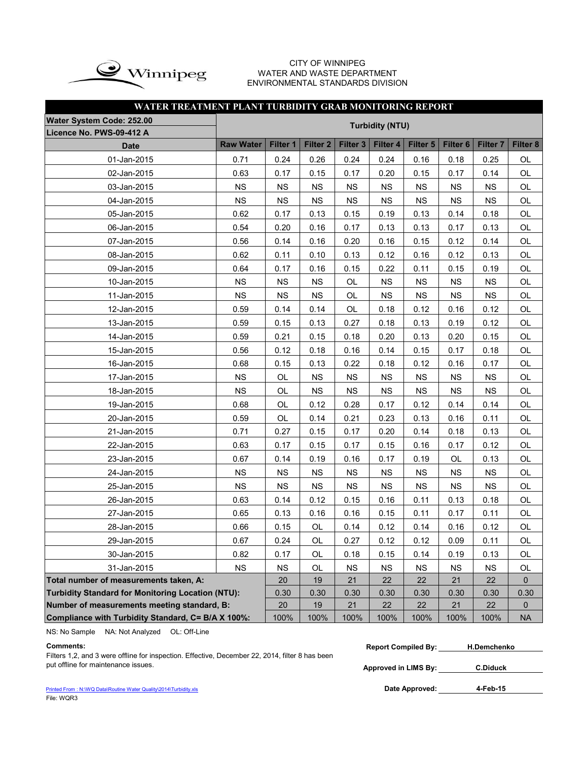

### CITY OF WINNIPEG WATER AND WASTE DEPARTMENT ENVIRONMENTAL STANDARDS DIVISION

| WATER TREATMENT PLANT TURBIDITY GRAB MONITORING REPORT   |                  |           |                     |           |                        |           |                     |                     |          |
|----------------------------------------------------------|------------------|-----------|---------------------|-----------|------------------------|-----------|---------------------|---------------------|----------|
| Water System Code: 252.00                                |                  |           |                     |           | <b>Turbidity (NTU)</b> |           |                     |                     |          |
| Licence No. PWS-09-412 A                                 |                  |           |                     |           |                        |           |                     |                     |          |
| Date                                                     | <b>Raw Water</b> | Filter 1  | Filter <sub>2</sub> | Filter 3  | Filter 4               | Filter 5  | Filter <sub>6</sub> | Filter <sub>7</sub> | Filter 8 |
| 01-Jan-2015                                              | 0.71             | 0.24      | 0.26                | 0.24      | 0.24                   | 0.16      | 0.18                | 0.25                | OL       |
| 02-Jan-2015                                              | 0.63             | 0.17      | 0.15                | 0.17      | 0.20                   | 0.15      | 0.17                | 0.14                | OL       |
| 03-Jan-2015                                              | <b>NS</b>        | <b>NS</b> | <b>NS</b>           | <b>NS</b> | <b>NS</b>              | NS        | <b>NS</b>           | <b>NS</b>           | OL       |
| 04-Jan-2015                                              | NS               | <b>NS</b> | <b>NS</b>           | <b>NS</b> | <b>NS</b>              | <b>NS</b> | <b>NS</b>           | <b>NS</b>           | OL       |
| 05-Jan-2015                                              | 0.62             | 0.17      | 0.13                | 0.15      | 0.19                   | 0.13      | 0.14                | 0.18                | OL       |
| 06-Jan-2015                                              | 0.54             | 0.20      | 0.16                | 0.17      | 0.13                   | 0.13      | 0.17                | 0.13                | OL       |
| 07-Jan-2015                                              | 0.56             | 0.14      | 0.16                | 0.20      | 0.16                   | 0.15      | 0.12                | 0.14                | OL       |
| 08-Jan-2015                                              | 0.62             | 0.11      | 0.10                | 0.13      | 0.12                   | 0.16      | 0.12                | 0.13                | OL       |
| 09-Jan-2015                                              | 0.64             | 0.17      | 0.16                | 0.15      | 0.22                   | 0.11      | 0.15                | 0.19                | OL       |
| 10-Jan-2015                                              | <b>NS</b>        | <b>NS</b> | <b>NS</b>           | OL        | <b>NS</b>              | <b>NS</b> | <b>NS</b>           | <b>NS</b>           | OL       |
| 11-Jan-2015                                              | <b>NS</b>        | <b>NS</b> | <b>NS</b>           | OL        | <b>NS</b>              | <b>NS</b> | <b>NS</b>           | <b>NS</b>           | OL       |
| 12-Jan-2015                                              | 0.59             | 0.14      | 0.14                | OL        | 0.18                   | 0.12      | 0.16                | 0.12                | OL       |
| 13-Jan-2015                                              | 0.59             | 0.15      | 0.13                | 0.27      | 0.18                   | 0.13      | 0.19                | 0.12                | OL       |
| 14-Jan-2015                                              | 0.59             | 0.21      | 0.15                | 0.18      | 0.20                   | 0.13      | 0.20                | 0.15                | OL       |
| 15-Jan-2015                                              | 0.56             | 0.12      | 0.18                | 0.16      | 0.14                   | 0.15      | 0.17                | 0.18                | OL       |
| 16-Jan-2015                                              | 0.68             | 0.15      | 0.13                | 0.22      | 0.18                   | 0.12      | 0.16                | 0.17                | OL       |
| 17-Jan-2015                                              | <b>NS</b>        | OL        | NS                  | <b>NS</b> | <b>NS</b>              | NS        | <b>NS</b>           | <b>NS</b>           | OL       |
| 18-Jan-2015                                              | <b>NS</b>        | OL        | <b>NS</b>           | <b>NS</b> | <b>NS</b>              | <b>NS</b> | <b>NS</b>           | <b>NS</b>           | OL       |
| 19-Jan-2015                                              | 0.68             | OL        | 0.12                | 0.28      | 0.17                   | 0.12      | 0.14                | 0.14                | OL       |
| 20-Jan-2015                                              | 0.59             | OL        | 0.14                | 0.21      | 0.23                   | 0.13      | 0.16                | 0.11                | OL       |
| 21-Jan-2015                                              | 0.71             | 0.27      | 0.15                | 0.17      | 0.20                   | 0.14      | 0.18                | 0.13                | OL       |
| 22-Jan-2015                                              | 0.63             | 0.17      | 0.15                | 0.17      | 0.15                   | 0.16      | 0.17                | 0.12                | OL       |
| 23-Jan-2015                                              | 0.67             | 0.14      | 0.19                | 0.16      | 0.17                   | 0.19      | OL                  | 0.13                | OL       |
| 24-Jan-2015                                              | <b>NS</b>        | <b>NS</b> | <b>NS</b>           | <b>NS</b> | <b>NS</b>              | <b>NS</b> | <b>NS</b>           | <b>NS</b>           | OL       |
| 25-Jan-2015                                              | <b>NS</b>        | <b>NS</b> | <b>NS</b>           | <b>NS</b> | <b>NS</b>              | <b>NS</b> | <b>NS</b>           | <b>NS</b>           | OL       |
| 26-Jan-2015                                              | 0.63             | 0.14      | 0.12                | 0.15      | 0.16                   | 0.11      | 0.13                | 0.18                | OL       |
| 27-Jan-2015                                              | 0.65             | 0.13      | 0.16                | 0.16      | 0.15                   | 0.11      | 0.17                | 0.11                | OL       |
| 28-Jan-2015                                              | 0.66             | 0.15      | OL                  | 0.14      | 0.12                   | 0.14      | 0.16                | 0.12                | OL       |
| 29-Jan-2015                                              | 0.67             | 0.24      | OL                  | 0.27      | 0.12                   | 0.12      | 0.09                | 0.11                | OL       |
| 30-Jan-2015                                              | 0.82             | 0.17      | OL                  | 0.18      | 0.15                   | 0.14      | 0.19                | 0.13                | OL       |
| 31-Jan-2015                                              | <b>NS</b>        | <b>NS</b> | OL                  | <b>NS</b> | <b>NS</b>              | <b>NS</b> | <b>NS</b>           | <b>NS</b>           | OL       |
| Total number of measurements taken, A:                   |                  | 20        | 19                  | 21        | 22                     | 22        | 21                  | 22                  | 0        |
| <b>Turbidity Standard for Monitoring Location (NTU):</b> |                  | 0.30      | 0.30                | 0.30      | 0.30                   | 0.30      | 0.30                | 0.30                | 0.30     |
| Number of measurements meeting standard, B:              |                  | 20        | 19                  | 21        | 22                     | 22        | 21                  | 22                  | 0        |
| Compliance with Turbidity Standard, C= B/A X 100%:       | 100%             | 100%      | 100%                | 100%      | 100%                   | 100%      | 100%                | <b>NA</b>           |          |

NS: No Sample NA: Not Analyzed OL: Off-Line

**Approved in LIMS By:** put offline for maintenance issues. **C.Diduck**Filters 1,2, and 3 were offline for inspection. Effective, December 22, 2014, filter 8 has been put offline for maintenance issues.

[Printed From : N:\WQ Data\Routine Water Quality\2014\Turbidity.xls](C:/Documents and Settings/rgrossel/Local Settings/Temporary Internet Files/OLK13/Turbidity 2010.xls) File: WQR3

| Commentsː |  |  |  |  | <b>Report Compiled By:</b> | <b>H.Demchenko</b> |
|-----------|--|--|--|--|----------------------------|--------------------|
|           |  |  |  |  |                            |                    |

Date Approved: 4-Feb-15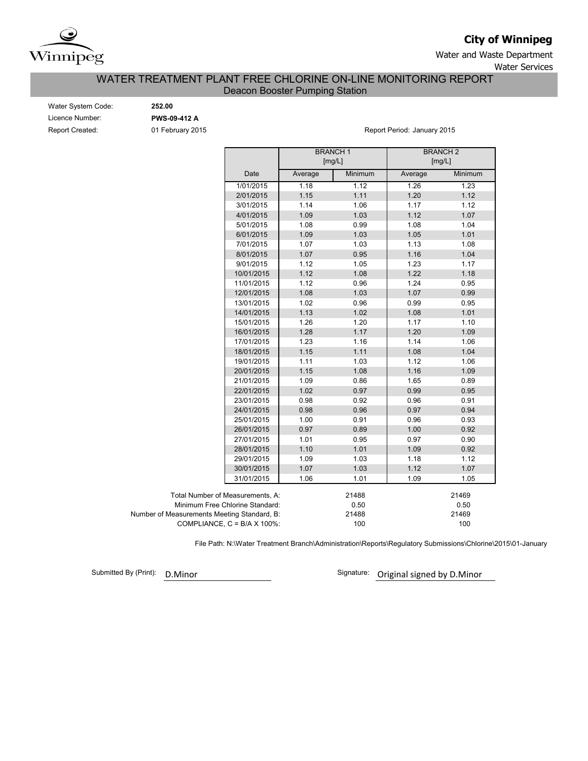

# **City of Winnipeg**

Water and Waste Department Water Services

## Deacon Booster Pumping Station WATER TREATMENT PLANT FREE CHLORINE ON-LINE MONITORING REPORT

| Water System Code: |  |
|--------------------|--|
| Licence Number:    |  |
| Report Created:    |  |

Water System Code: **252.00** Licence Number: **PWS-09-412 A**

01 February 2015 **Report Period: January 2015** 

|                                             |                                      | <b>BRANCH1</b><br>[mg/L] |         | <b>BRANCH2</b><br>[mg/L] |         |  |
|---------------------------------------------|--------------------------------------|--------------------------|---------|--------------------------|---------|--|
|                                             | Date                                 | Average                  | Minimum | Average                  | Minimum |  |
|                                             | 1/01/2015                            | 1.18                     | 1.12    | 1.26                     | 1.23    |  |
|                                             | 2/01/2015                            | 1.15                     | 1.11    | 1.20                     | 1.12    |  |
|                                             | 3/01/2015                            | 1.14                     | 1.06    | 1.17                     | 1.12    |  |
|                                             | 4/01/2015                            | 1.09                     | 1.03    | 1.12                     | 1.07    |  |
|                                             | 5/01/2015                            | 1.08                     | 0.99    | 1.08                     | 1.04    |  |
|                                             | 6/01/2015                            | 1.09                     | 1.03    | 1.05                     | 1.01    |  |
|                                             | 7/01/2015                            | 1.07                     | 1.03    | 1.13                     | 1.08    |  |
|                                             | 8/01/2015                            | 1.07                     | 0.95    | 1.16                     | 1.04    |  |
|                                             | 9/01/2015                            | 1.12                     | 1.05    | 1.23                     | 1.17    |  |
|                                             | 10/01/2015                           | 1.12                     | 1.08    | 1.22                     | 1.18    |  |
|                                             | 11/01/2015                           | 1.12                     | 0.96    | 1.24                     | 0.95    |  |
|                                             | 12/01/2015                           | 1.08                     | 1.03    | 1.07                     | 0.99    |  |
|                                             | 13/01/2015                           | 1.02                     | 0.96    | 0.99                     | 0.95    |  |
|                                             | 14/01/2015                           | 1.13                     | 1.02    | 1.08                     | 1.01    |  |
|                                             | 15/01/2015                           | 1.26                     | 1.20    | 1.17                     | 1.10    |  |
|                                             | 16/01/2015                           | 1.28                     | 1.17    | 1.20                     | 1.09    |  |
|                                             | 17/01/2015                           | 1.23                     | 1.16    | 1.14                     | 1.06    |  |
|                                             | 18/01/2015                           | 1.15                     | 1.11    | 1.08                     | 1.04    |  |
|                                             | 19/01/2015                           | 1.11                     | 1.03    | 1.12                     | 1.06    |  |
|                                             | 20/01/2015                           | 1.15                     | 1.08    | 1.16                     | 1.09    |  |
|                                             | 21/01/2015                           | 1.09                     | 0.86    | 1.65                     | 0.89    |  |
|                                             | 22/01/2015                           | 1.02                     | 0.97    | 0.99                     | 0.95    |  |
|                                             | 23/01/2015                           | 0.98                     | 0.92    | 0.96                     | 0.91    |  |
|                                             | 24/01/2015                           | 0.98                     | 0.96    | 0.97                     | 0.94    |  |
|                                             | 25/01/2015                           | 1.00                     | 0.91    | 0.96                     | 0.93    |  |
|                                             | 26/01/2015                           | 0.97                     | 0.89    | 1.00                     | 0.92    |  |
|                                             | 27/01/2015                           | 1.01                     | 0.95    | 0.97                     | 0.90    |  |
|                                             | 28/01/2015                           | 1.10                     | 1.01    | 1.09                     | 0.92    |  |
|                                             | 29/01/2015                           | 1.09                     | 1.03    | 1.18                     | 1.12    |  |
|                                             | 30/01/2015                           | 1.07                     | 1.03    | 1.12                     | 1.07    |  |
|                                             | 31/01/2015                           | 1.06                     | 1.01    | 1.09                     | 1.05    |  |
| Total Number of Measurements, A:            |                                      |                          | 21488   |                          | 21469   |  |
| Minimum Free Chlorine Standard:             |                                      |                          | 0.50    |                          | 0.50    |  |
| Number of Measurements Meeting Standard, B: |                                      |                          | 21488   |                          | 21469   |  |
|                                             | COMPLIANCE, $C = B/A \times 100\%$ : |                          | 100     |                          | 100     |  |

File Path: N:\Water Treatment Branch\Administration\Reports\Regulatory Submissions\Chlorine\2015\01-January

Submitted By (Print):

D.Minor **D.Minor** Signature: Original signed by D.Minor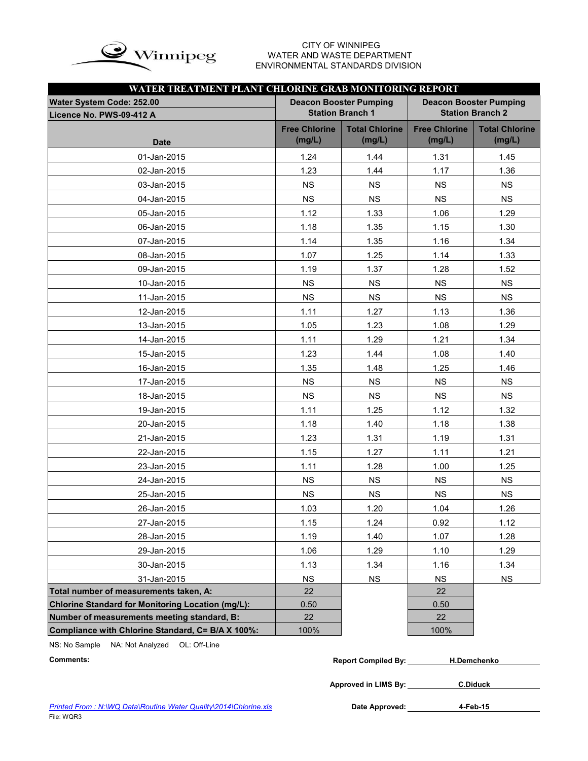

# WATER AND WASTE DEPARTMENT ENVIRONMENTAL STANDARDS DIVISION

|                                                          | WATER TREATMENT PLANT CHLORINE GRAB MONITORING REPORT<br><b>Deacon Booster Pumping</b><br><b>Deacon Booster Pumping</b><br><b>Station Branch 1</b><br><b>Station Branch 2</b><br><b>Free Chlorine</b><br><b>Total Chlorine</b><br><b>Free Chlorine</b><br><b>Total Chlorine</b><br>(mg/L)<br>(mg/L)<br>(mg/L)<br>(mg/L)<br>1.24<br>1.44<br>1.31<br>1.45<br>1.23<br>1.44<br>1.17<br>1.36<br><b>NS</b><br><b>NS</b><br><b>NS</b><br><b>NS</b><br><b>NS</b><br><b>NS</b><br><b>NS</b><br><b>NS</b><br>1.12<br>1.06<br>1.29<br>1.33<br>1.18<br>1.35<br>1.15<br>1.30<br>1.14<br>1.16<br>1.34<br>1.35<br>1.07<br>1.25<br>1.14<br>1.33<br>1.19<br>1.28<br>1.37<br>1.52<br><b>NS</b><br><b>NS</b><br>NS<br>NS<br><b>NS</b><br><b>NS</b><br><b>NS</b><br><b>NS</b><br>1.11<br>1.13<br>1.36<br>1.27<br>1.05<br>1.29<br>1.23<br>1.08<br>1.21<br>1.11<br>1.29<br>1.34<br>1.23<br>1.08<br>1.40<br>1.44<br>1.35<br>1.48<br>1.25<br>1.46<br><b>NS</b><br><b>NS</b><br><b>NS</b><br><b>NS</b><br><b>NS</b><br><b>NS</b><br><b>NS</b><br><b>NS</b><br>1.11<br>1.25<br>1.12<br>1.32<br>1.18<br>1.18<br>1.38<br>1.40<br>1.23<br>1.19<br>1.31<br>1.31<br>1.15<br>1.27<br>1.11<br>1.21<br>1.11<br>1.28<br>1.00<br>1.25<br><b>NS</b><br><b>NS</b><br>NS<br>NS |           |           |           |  |  |  |
|----------------------------------------------------------|-----------------------------------------------------------------------------------------------------------------------------------------------------------------------------------------------------------------------------------------------------------------------------------------------------------------------------------------------------------------------------------------------------------------------------------------------------------------------------------------------------------------------------------------------------------------------------------------------------------------------------------------------------------------------------------------------------------------------------------------------------------------------------------------------------------------------------------------------------------------------------------------------------------------------------------------------------------------------------------------------------------------------------------------------------------------------------------------------------------------------------------------------------------------------------------------------------------------------------------------|-----------|-----------|-----------|--|--|--|
| Water System Code: 252.00<br>Licence No. PWS-09-412 A    |                                                                                                                                                                                                                                                                                                                                                                                                                                                                                                                                                                                                                                                                                                                                                                                                                                                                                                                                                                                                                                                                                                                                                                                                                                         |           |           |           |  |  |  |
| <b>Date</b>                                              |                                                                                                                                                                                                                                                                                                                                                                                                                                                                                                                                                                                                                                                                                                                                                                                                                                                                                                                                                                                                                                                                                                                                                                                                                                         |           |           |           |  |  |  |
| 01-Jan-2015                                              |                                                                                                                                                                                                                                                                                                                                                                                                                                                                                                                                                                                                                                                                                                                                                                                                                                                                                                                                                                                                                                                                                                                                                                                                                                         |           |           |           |  |  |  |
| 02-Jan-2015                                              |                                                                                                                                                                                                                                                                                                                                                                                                                                                                                                                                                                                                                                                                                                                                                                                                                                                                                                                                                                                                                                                                                                                                                                                                                                         |           |           |           |  |  |  |
| 03-Jan-2015                                              |                                                                                                                                                                                                                                                                                                                                                                                                                                                                                                                                                                                                                                                                                                                                                                                                                                                                                                                                                                                                                                                                                                                                                                                                                                         |           |           |           |  |  |  |
| 04-Jan-2015                                              |                                                                                                                                                                                                                                                                                                                                                                                                                                                                                                                                                                                                                                                                                                                                                                                                                                                                                                                                                                                                                                                                                                                                                                                                                                         |           |           |           |  |  |  |
| 05-Jan-2015                                              |                                                                                                                                                                                                                                                                                                                                                                                                                                                                                                                                                                                                                                                                                                                                                                                                                                                                                                                                                                                                                                                                                                                                                                                                                                         |           |           |           |  |  |  |
| 06-Jan-2015                                              |                                                                                                                                                                                                                                                                                                                                                                                                                                                                                                                                                                                                                                                                                                                                                                                                                                                                                                                                                                                                                                                                                                                                                                                                                                         |           |           |           |  |  |  |
| 07-Jan-2015                                              |                                                                                                                                                                                                                                                                                                                                                                                                                                                                                                                                                                                                                                                                                                                                                                                                                                                                                                                                                                                                                                                                                                                                                                                                                                         |           |           |           |  |  |  |
| 08-Jan-2015                                              |                                                                                                                                                                                                                                                                                                                                                                                                                                                                                                                                                                                                                                                                                                                                                                                                                                                                                                                                                                                                                                                                                                                                                                                                                                         |           |           |           |  |  |  |
| 09-Jan-2015                                              |                                                                                                                                                                                                                                                                                                                                                                                                                                                                                                                                                                                                                                                                                                                                                                                                                                                                                                                                                                                                                                                                                                                                                                                                                                         |           |           |           |  |  |  |
| 10-Jan-2015                                              |                                                                                                                                                                                                                                                                                                                                                                                                                                                                                                                                                                                                                                                                                                                                                                                                                                                                                                                                                                                                                                                                                                                                                                                                                                         |           |           |           |  |  |  |
| 11-Jan-2015                                              |                                                                                                                                                                                                                                                                                                                                                                                                                                                                                                                                                                                                                                                                                                                                                                                                                                                                                                                                                                                                                                                                                                                                                                                                                                         |           |           |           |  |  |  |
| 12-Jan-2015                                              |                                                                                                                                                                                                                                                                                                                                                                                                                                                                                                                                                                                                                                                                                                                                                                                                                                                                                                                                                                                                                                                                                                                                                                                                                                         |           |           |           |  |  |  |
| 13-Jan-2015                                              |                                                                                                                                                                                                                                                                                                                                                                                                                                                                                                                                                                                                                                                                                                                                                                                                                                                                                                                                                                                                                                                                                                                                                                                                                                         |           |           |           |  |  |  |
| 14-Jan-2015                                              |                                                                                                                                                                                                                                                                                                                                                                                                                                                                                                                                                                                                                                                                                                                                                                                                                                                                                                                                                                                                                                                                                                                                                                                                                                         |           |           |           |  |  |  |
| 15-Jan-2015                                              |                                                                                                                                                                                                                                                                                                                                                                                                                                                                                                                                                                                                                                                                                                                                                                                                                                                                                                                                                                                                                                                                                                                                                                                                                                         |           |           |           |  |  |  |
| 16-Jan-2015                                              |                                                                                                                                                                                                                                                                                                                                                                                                                                                                                                                                                                                                                                                                                                                                                                                                                                                                                                                                                                                                                                                                                                                                                                                                                                         |           |           |           |  |  |  |
| 17-Jan-2015                                              |                                                                                                                                                                                                                                                                                                                                                                                                                                                                                                                                                                                                                                                                                                                                                                                                                                                                                                                                                                                                                                                                                                                                                                                                                                         |           |           |           |  |  |  |
| 18-Jan-2015                                              |                                                                                                                                                                                                                                                                                                                                                                                                                                                                                                                                                                                                                                                                                                                                                                                                                                                                                                                                                                                                                                                                                                                                                                                                                                         |           |           |           |  |  |  |
| 19-Jan-2015                                              |                                                                                                                                                                                                                                                                                                                                                                                                                                                                                                                                                                                                                                                                                                                                                                                                                                                                                                                                                                                                                                                                                                                                                                                                                                         |           |           |           |  |  |  |
| 20-Jan-2015                                              |                                                                                                                                                                                                                                                                                                                                                                                                                                                                                                                                                                                                                                                                                                                                                                                                                                                                                                                                                                                                                                                                                                                                                                                                                                         |           |           |           |  |  |  |
| 21-Jan-2015                                              |                                                                                                                                                                                                                                                                                                                                                                                                                                                                                                                                                                                                                                                                                                                                                                                                                                                                                                                                                                                                                                                                                                                                                                                                                                         |           |           |           |  |  |  |
| 22-Jan-2015                                              |                                                                                                                                                                                                                                                                                                                                                                                                                                                                                                                                                                                                                                                                                                                                                                                                                                                                                                                                                                                                                                                                                                                                                                                                                                         |           |           |           |  |  |  |
| 23-Jan-2015                                              |                                                                                                                                                                                                                                                                                                                                                                                                                                                                                                                                                                                                                                                                                                                                                                                                                                                                                                                                                                                                                                                                                                                                                                                                                                         |           |           |           |  |  |  |
| 24-Jan-2015                                              |                                                                                                                                                                                                                                                                                                                                                                                                                                                                                                                                                                                                                                                                                                                                                                                                                                                                                                                                                                                                                                                                                                                                                                                                                                         |           |           |           |  |  |  |
| 25-Jan-2015                                              | <b>NS</b>                                                                                                                                                                                                                                                                                                                                                                                                                                                                                                                                                                                                                                                                                                                                                                                                                                                                                                                                                                                                                                                                                                                                                                                                                               | <b>NS</b> | <b>NS</b> | <b>NS</b> |  |  |  |
| 26-Jan-2015                                              | 1.03                                                                                                                                                                                                                                                                                                                                                                                                                                                                                                                                                                                                                                                                                                                                                                                                                                                                                                                                                                                                                                                                                                                                                                                                                                    | 1.20      | 1.04      | 1.26      |  |  |  |
| 27-Jan-2015                                              | 1.15                                                                                                                                                                                                                                                                                                                                                                                                                                                                                                                                                                                                                                                                                                                                                                                                                                                                                                                                                                                                                                                                                                                                                                                                                                    | 1.24      | 0.92      | 1.12      |  |  |  |
| 28-Jan-2015                                              | 1.19                                                                                                                                                                                                                                                                                                                                                                                                                                                                                                                                                                                                                                                                                                                                                                                                                                                                                                                                                                                                                                                                                                                                                                                                                                    | 1.40      | 1.07      | 1.28      |  |  |  |
| 29-Jan-2015                                              | 1.06                                                                                                                                                                                                                                                                                                                                                                                                                                                                                                                                                                                                                                                                                                                                                                                                                                                                                                                                                                                                                                                                                                                                                                                                                                    | 1.29      | 1.10      | 1.29      |  |  |  |
| 30-Jan-2015                                              | 1.13                                                                                                                                                                                                                                                                                                                                                                                                                                                                                                                                                                                                                                                                                                                                                                                                                                                                                                                                                                                                                                                                                                                                                                                                                                    | 1.34      | 1.16      | 1.34      |  |  |  |
| 31-Jan-2015                                              | <b>NS</b>                                                                                                                                                                                                                                                                                                                                                                                                                                                                                                                                                                                                                                                                                                                                                                                                                                                                                                                                                                                                                                                                                                                                                                                                                               | <b>NS</b> | <b>NS</b> | NS        |  |  |  |
| Total number of measurements taken, A:                   | 22                                                                                                                                                                                                                                                                                                                                                                                                                                                                                                                                                                                                                                                                                                                                                                                                                                                                                                                                                                                                                                                                                                                                                                                                                                      |           | 22        |           |  |  |  |
| <b>Chlorine Standard for Monitoring Location (mg/L):</b> | 0.50                                                                                                                                                                                                                                                                                                                                                                                                                                                                                                                                                                                                                                                                                                                                                                                                                                                                                                                                                                                                                                                                                                                                                                                                                                    |           | 0.50      |           |  |  |  |
| Number of measurements meeting standard, B:              | 22                                                                                                                                                                                                                                                                                                                                                                                                                                                                                                                                                                                                                                                                                                                                                                                                                                                                                                                                                                                                                                                                                                                                                                                                                                      |           | 22        |           |  |  |  |
| Compliance with Chlorine Standard, C= B/A X 100%:        | 100%                                                                                                                                                                                                                                                                                                                                                                                                                                                                                                                                                                                                                                                                                                                                                                                                                                                                                                                                                                                                                                                                                                                                                                                                                                    |           | 100%      |           |  |  |  |

NS: No Sample NA: Not Analyzed OL: Off-Line

| Comments: | <b>Report Compiled By:</b> | H.Demchenko |
|-----------|----------------------------|-------------|
|           |                            |             |

**Approved in LIMS By: C.Diduck**

Date Approved: 4-Feb-15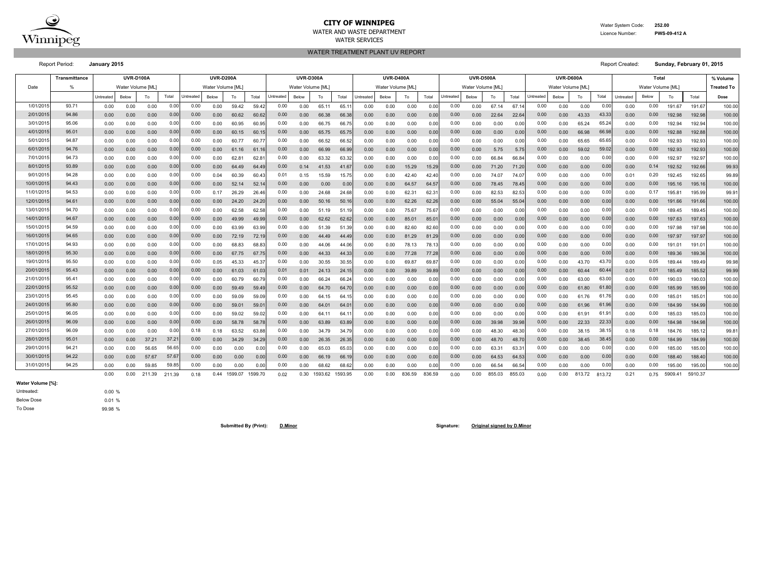

#### **CITY OF WINNIPEG** 252.00 WATER AND WASTE DEPARTMENT **EXECUTE AND INCOMEDY ASSESSED ASSESSED AT A Licence Number: PWS-09-412 A**

WATER TREATMENT PLANT UV REPORT

WATER SERVICES

Report Period: **January 2015** Report Created: **Sunday, February 01, 2015**

**% Volume Treated To** Untreated Below | To | Total |Untreated Below | To | Total |Untreated Below | To | Total |Untreated Below | To | Total Total Total Total Intreated Below | To | Total I Dose 0.00 0.00 0.00 0.00 59.42 59.42 0.00 65.11 65.11 0.00 0.00 0.00 0.00 0.00 67.14 67.14 0.00 0.00 0.00 191.67 191.67 100.00 0.00 0.00 0.00 0.00 60.62 60.62 0.00 66.38 66.38 0.00 0.00 0.00 0.00 0.00 22.64 22.64 0.00 43.33 0.00 192.98 192.98 100.00 0.00 0.00 0.00 0.00 60.95 60.95 0.00 66.75 66.75 0.00 0.00 0.00 0.00 0.00 0.00 0.00 0.00 65.24 0.00 192.94 192.94 100.00 0.00 0.00 0.00 0.00 60.15 60.15 0.00 65.75 65.75 0.00 0.00 0.00 0.00 0.00 0.00 0.00 0.00 66.98 0.00 192.88 192.88 100.00 0.00 0.00 0.00 0.00 60.77 60.77 0.00 66.52 66.52 0.00 0.00 0.00 0.00 0.00 0.00 0.00 0.00 65.65 0.00 192.93 192.93 100.00 0.00 0.00 0.00 0.00 61.16 61.16 0.00 66.99 66.99 0.00 0.00 0.00 0.00 0.00 5.75 5.75 0.00 59.02 0.00 192.93 192.93 100.00 0.00 0.00 0.00 0.00 62.81 62.81 0.00 63.32 63.32 0.00 0.00 0.00 0.00 0.00 66.84 66.84 0.00 0.00 0.00 192.97 192.97 100.00 0.00 0.00 0.00 0.00 64.49 64.49 0.14 41.53 41.67 0.00 0.00 15.29 15.29 0.00 71.20 71.20 0.00 0.00 0.00 192.52 192.66 99.93 0.00 0.00 0.00 0.04 60.39 60.43 0.15 15.59 15.75 0.00 0.00 42.40 42.40 0.00 74.07 74.07 0.00 0.00 0.01 192.45 192.65 99.89 0.00 0.00 0.00 0.00 52.14 52.14 0.00 0.00 0.00 0.00 0.00 64.57 64.57 0.00 78.45 78.45 0.00 0.00 0.00 195.16 195.16 100.00 0.00 0.00 0.00 0.17 26.29 26.46 0.00 24.68 24.68 0.00 0.00 62.31 62.31 0.00 82.53 82.53 0.00 0.00 0.00 195.81 195.99 99.91 0.00 0.00 0.00 0.00 24.20 24.20 0.00 50.16 50.16 0.00 0.00 62.26 62.26 0.00 55.04 55.04 0.00 0.00 0.00 191.66 191.66 100.00 0.00 0.00 0.00 0.00 62.58 62.58 0.00 51.19 51.19 0.00 0.00 75.67 75.67 0.00 0.00 0.00 0.00 0.00 0.00 189.45 189.45 100.00 0.00 0.00 0.00 0.00 49.99 49.99 0.00 62.62 62.62 0.00 0.00 85.01 85.01 0.00 0.00 0.00 0.00 0.00 0.00 197.63 197.63 100.00 0.00 0.00 0.00 0.00 63.99 63.99 0.00 51.39 51.39 0.00 0.00 82.60 82.60 0.00 0.00 0.00 0.00 0.00 0.00 197.98 197.98 100.00 0.00 0.00 0.00 0.00 72.19 72.19 0.00 44.49 44.49 0.00 0.00 81.29 81.29 0.00 0.00 0.00 0.00 0.00 0.00 197.97 197.97 100.00 0.00 0.00 0.00 0.00 68.83 68.83 0.00 44.06 44.06 0.00 0.00 78.13 78.13 0.00 0.00 0.00 0.00 0.00 0.00 191.01 191.01 100.00 0.00 0.00 0.00 0.00 67.75 67.75 0.00 44.33 44.33 0.00 0.00 77.28 77.28 0.00 0.00 0.00 0.00 0.00 0.00 189.36 189.36 100.00 0.00 0.00 0.00 0.05 45.33 45.37 0.00 30.55 30.55 0.00 0.00 69.87 69.87 0.00 0.00 0.00 0.00 43.70 0.00 189.44 189.49 99.98 0.00 0.00 0.00 0.00 61.03 61.03 0.01 24.13 24.15 0.00 0.00 39.89 39.89 0.00 0.00 0.00 0.00 60.44 0.01 185.49 185.52 99.99 0.00 0.00 0.00 0.00 60.79 60.79 0.00 66.24 66.24 0.00 0.00 0.00 0.00 0.00 0.00 0.00 0.00 63.00 0.00 190.03 190.03 100.00 0.00 0.00 0.00 0.00 59.49 59.49 0.00 64.70 64.70 0.00 0.00 0.00 0.00 0.00 0.00 0.00 0.00 61.80 0.00 185.99 185.99 100.00 0.00 0.00 0.00 0.00 59.09 59.09 0.00 64.15 64.15 0.00 0.00 0.00 0.00 0.00 0.00 0.00 0.00 61.76 0.00 185.01 185.01 100.00 0.00 0.00 0.00 0.00 59.01 59.01 0.00 64.01 64.01 0.00 0.00 0.00 0.00 0.00 0.00 0.00 0.00 61.96 0.00 184.99 184.99 100.00 0.00 0.00 0.00 0.00 59.02 59.02 0.00 64.11 64.11 0.00 0.00 0.00 0.00 0.00 0.00 0.00 0.00 61.91 0.00 185.03 185.03 100.00 0.00 0.00 0.00 0.00 58.78 58.78 0.00 63.89 63.89 0.00 0.00 0.00 0.00 0.00 39.98 39.98 0.00 22.33 0.00 184.98 184.98 100.00 0.00 0.00 0.00 0.18 63.52 63.88 0.00 34.79 34.79 0.00 0.00 0.00 0.00 0.00 48.30 48.30 0.00 38.15 0.18 184.76 185.12 99.81 0.00 0.00 37.21 37.21 0.00 0.00 34.29 34.29 0.00 0.00 26.35 26.35 0.00 0.00 0.00 0.00 0.00 0.00 48.70 0.00 0.00 38.45 38.45 0.00 0.00 184.99 100.00 100.00 0.00 0.00 56.65 0.00 0.00 0.00 0.00 65.03 65.03 0.00 0.00 0.00 0.00 0.00 63.31 63.31 0.00 0.00 0.00 185.00 185.00 100.00 0.00 0.00 57.67 57.67 0.00 0.00 0.00 0.00 0.00 0.00 66.19 0.00 0.00 0.00 0.00 0.00 0.00 64.53 64.53 0.00 0.00 0.00 0.00 0.00 0.00 188.40 100.00 0.00 0.00 59.85 0.00 0.00 0.00 0.00 68.62 68.62 0.00 0.00 0.00 0.00 0.00 66.54 66.54 0.00 0.00 0.00 195.00 195.00 100.00 0.00 0.00 211.39 211.39 0.18 0.44 1599.07 1599.70 0.02 0.30 1593.62 1593.95 0.00 0.00 836.59 836.59 0.00 0.55.03 855.03 0.00 0.00 813.72 813.72 0.21 0.75 5909.41 5910.37 **UVR-D400A UVR-D500A UVR-D600A Total** Date | % | Water Volume [ML] | Water Volume [ML] | Water Volume [ML] | Water Volume [ML] | Water Volume [ML] | Water Volume [ML] | Water Volume [ML] **Transmittance UVR-D100A UVR-D200A UVR-D300A** Untreated Below To Total Untreated Below To Total Untreated Below 1/01/2015 93.71 0.00 0.00 0.00 0.00 0.00 0.00 0.00 Total Untreated Below | To | Total Untreated 0.00 0.00 43.33 0.00 3/01/2015 95.06 0.00 0.00 0.00 0.00 0.00 65.24 0.00 2/01/2015 94.86 0.00 0.00 0.00 0.00 0.00 66.98 0.00 5/01/2015| 94.87 | 0.00 0.00 0.00 0.00| 0.00 0.00 60.77 60.77| 0.00 0.00 66.52 66.52| 0.00 0.00 0.00 0.00| 0.00 0.00| 0.00 0.00| 0.00 0.00| 0.00 65.65 65.65| 0.00 0.00| 0.00| 0.00| 0.00| 0.00| 0.00| 0.00| 0.00| 0.00| 0.00| 4/01/2015 95.01 0.00 0.00 0.00 0.00 0.00 59.02 0.00 7/01/2015 94.73 0.00 0.00 0.00 0.00 0.00 0.00 0.00 6/01/2015 94.76 0.00 0.00 0.00 0.00 0.00 71.20 71.20 0.00 0.00 0.00 0.00 0.00 0.14 9/01/2015| 94.28 | 0.00 0.00 0.00 0.00| 0.00 0.04 60.39 60.43| 0.01 0.15 15.59 15.75| 0.00 0.00 42.40 42.40| 0.00 0.00 74.07 74.07| 0.00 0.00 0.00 0.00| 0.01 0.20 8/01/2015 93.89 0.00 0.00 0.00 0.00 0.00 78.45 78.45 0.00 0.00 0.00 0.00 0.00 0.00 11/01/2015 94.53 0.00 0.00 0.00 0.00 0.00 0.00 0.17 10/01/2015 94.43 0.00 0.00 0.00 0.00 0.00 0.00 0.00 13/01/2015 94.70 0.00 0.00 0.00 0.00 0.00 0.00 0.00 12/01/2015 94.61 0.00 0.00 0.00 0.00 0.00 0.00 0.00 15/01/2015 94.59 0.00 0.00 0.00 0.00 0.00 0.00 0.00 14/01/2015 94.67 0.00 0.00 0.00 0.00 0.00 0.00 0.00 17/01/2015 94.93 0.00 0.00 0.00 0.00 0.00 0.00 0.00 16/01/2015 94.65 0.00 0.00 0.00 0.00 0.00 0.00 72.19 72.19 0.00 0.00 0.00 0.00 0.00 19/01/2015| 95.50 | 0.00 0.00 0.00 0.00 0.00 0.05 45.33 45.37| 0.00 0.00 30.55 30.55| 0.00 0.00 69.87 69.87| 0.00 0.00 0.00 0.00 0.00 0.00 0.00 43.70 43.70| 0.00 0.05 69.87| 0.00 0.00| 0.00 0.00| 0.00 0.00| 0.00| 0.00| 0.00 18/01/2015 95.30 0.00 0.00 0.00 0.00 0.00 0.00 0.00 0.00 60.44 60.44 0.01 0.01 21/01/2015 95.41 0.00 0.00 0.00 0.00 0.00 63.00 0.00 20/01/2015 95.43 0.00 0.00 0.01 0.00 0.00 61.80 0.00 23/01/2015 95.45 0.00 0.00 0.00 0.00 0.00 61.76 0.00 22/01/2015**|** 95.52 | 0.00 0.00 0.00 0.00| 0.00 0.00 59.49 59.49| 0.00 0.00 0.00 61.96 0.00 25/01/2015 96.05 0.00 0.00 0.00 0.00 0.00 61.91 0.00 24/01/2015**|** 95.80 | 0.00 0.00 0.00 0.00| 0.00 0.00 59.01 59.01| 0.00 0.00 0.00 22.33 0.00 27/01/2015 96.09 0.00 0.18 0.00 0.00 0.00 38.15 0.18 26/01/2015**|** 96.09 | 0.00 0.00 0.00 0.00| 0.00 0.00 58.78 58.78| 0.00 0.00 0.00 48.70 48.70 0.00 0.00 38.45 38.45 0.00 0.00 29/01/2015 94.21 56.65 0.00 0.00 0.00 0.00 0.00 0.00 28/01/2015 95.01 | 0.00 0.00 37.21 37.21 0.00 0.00 34.29 34.29 0.00 0.00 0.00 0.00 0.00 31/01/2015 94.25 59.85 0.00 0.00 0.00 0.00 0.00 0.00 30/01/2015**|** 94.22 | 0.00 0.00 57.67 57.67| 0.00 0.00 0.00 0.00| 0.00 0.00 0.00 855.03 855.03 0.00 0.00 813.72 813.72 0.21 0.75 211.39 0.18 0.44 1599.07 1599.70 0.02

**Water Volume [%]:**

Below Dose Untreated: To Dose

0.00 % 0.01 % 99.98 %

**Submitted By (Print): D.Minor Signature: Original signed by D.Minor**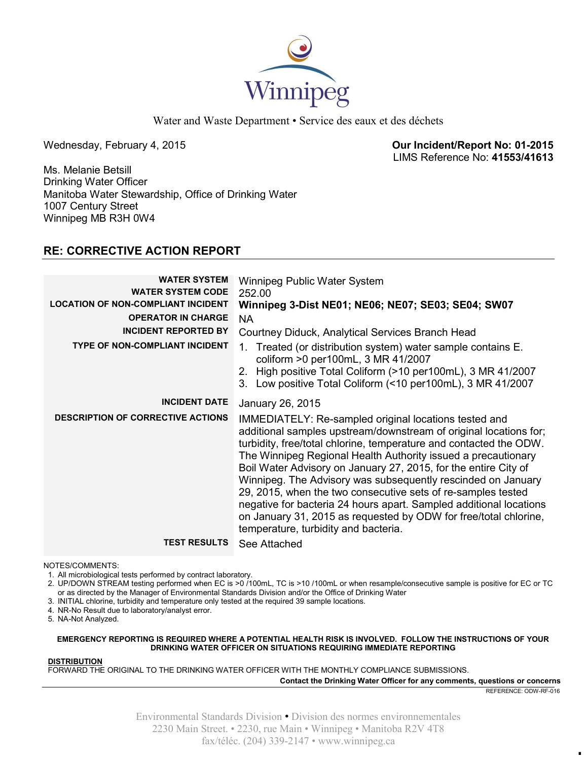

Water and Waste Department • Service des eaux et des déchets

Wednesday, February 4, 2015 **Our Incident/Report No: 01-2015**  LIMS Reference No: **41553/41613**

Ms. Melanie Betsill Drinking Water Officer Manitoba Water Stewardship, Office of Drinking Water 1007 Century Street Winnipeg MB R3H 0W4

# **RE: CORRECTIVE ACTION REPORT**

| <b>WATER SYSTEM</b><br><b>WATER SYSTEM CODE</b><br><b>LOCATION OF NON-COMPLIANT INCIDENT</b><br><b>OPERATOR IN CHARGE</b><br><b>INCIDENT REPORTED BY</b><br><b>TYPE OF NON-COMPLIANT INCIDENT</b> | Winnipeg Public Water System<br>252.00<br>Winnipeg 3-Dist NE01; NE06; NE07; SE03; SE04; SW07<br>NA.<br>Courtney Diduck, Analytical Services Branch Head<br>Treated (or distribution system) water sample contains E.<br>1.<br>coliform >0 per100mL, 3 MR 41/2007<br>2. High positive Total Coliform (>10 per100mL), 3 MR 41/2007                                                                                                                                                                                                                                                                                                                       |
|---------------------------------------------------------------------------------------------------------------------------------------------------------------------------------------------------|--------------------------------------------------------------------------------------------------------------------------------------------------------------------------------------------------------------------------------------------------------------------------------------------------------------------------------------------------------------------------------------------------------------------------------------------------------------------------------------------------------------------------------------------------------------------------------------------------------------------------------------------------------|
| <b>INCIDENT DATE</b>                                                                                                                                                                              | 3. Low positive Total Coliform (<10 per100mL), 3 MR 41/2007<br>January 26, 2015                                                                                                                                                                                                                                                                                                                                                                                                                                                                                                                                                                        |
| <b>DESCRIPTION OF CORRECTIVE ACTIONS</b>                                                                                                                                                          |                                                                                                                                                                                                                                                                                                                                                                                                                                                                                                                                                                                                                                                        |
|                                                                                                                                                                                                   | IMMEDIATELY: Re-sampled original locations tested and<br>additional samples upstream/downstream of original locations for;<br>turbidity, free/total chlorine, temperature and contacted the ODW.<br>The Winnipeg Regional Health Authority issued a precautionary<br>Boil Water Advisory on January 27, 2015, for the entire City of<br>Winnipeg. The Advisory was subsequently rescinded on January<br>29, 2015, when the two consecutive sets of re-samples tested<br>negative for bacteria 24 hours apart. Sampled additional locations<br>on January 31, 2015 as requested by ODW for free/total chlorine,<br>temperature, turbidity and bacteria. |
| <b>TEST RESULTS</b>                                                                                                                                                                               | See Attached                                                                                                                                                                                                                                                                                                                                                                                                                                                                                                                                                                                                                                           |

NOTES/COMMENTS:

1. All microbiological tests performed by contract laboratory.

2. UP/DOWN STREAM testing performed when EC is >0 /100mL, TC is >10 /100mL or when resample/consecutive sample is positive for EC or TC or as directed by the Manager of Environmental Standards Division and/or the Office of Drinking Water

3. INITIAL chlorine, turbidity and temperature only tested at the required 39 sample locations.

4. NR-No Result due to laboratory/analyst error.

5. NA-Not Analyzed.

#### **EMERGENCY REPORTING IS REQUIRED WHERE A POTENTIAL HEALTH RISK IS INVOLVED. FOLLOW THE INSTRUCTIONS OF YOUR DRINKING WATER OFFICER ON SITUATIONS REQUIRING IMMEDIATE REPORTING**

## **DISTRIBUTION**

FORWARD THE ORIGINAL TO THE DRINKING WATER OFFICER WITH THE MONTHLY COMPLIANCE SUBMISSIONS.

**Contact the Drinking Water Officer for any comments, questions or concerns**

REFERENCE: ODW-RF-016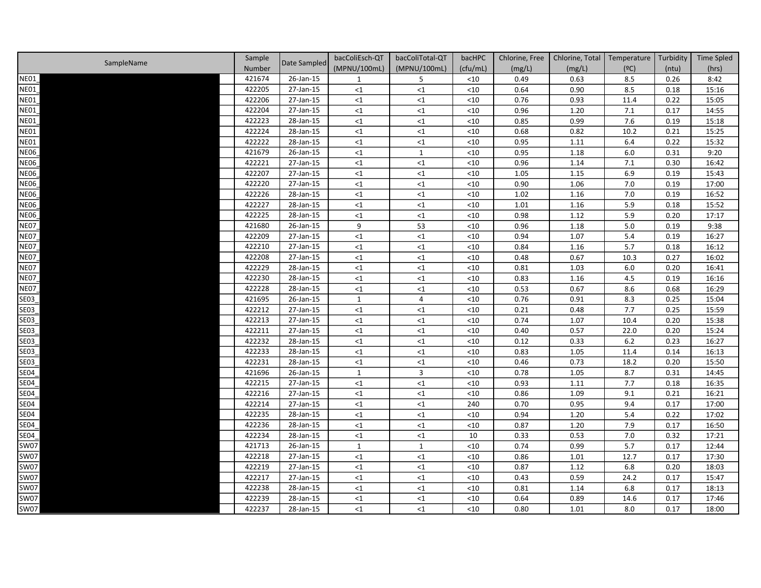|             | Sample |              | bacColiEsch-QT | bacColiTotal-QT | bacHPC   | Chlorine, Free | Chlorine, Total | Temperature | Turbidity | <b>Time Spled</b> |
|-------------|--------|--------------|----------------|-----------------|----------|----------------|-----------------|-------------|-----------|-------------------|
| SampleName  | Number | Date Sampled | (MPNU/100mL)   | (MPNU/100mL)    | (cfu/mL) | (mg/L)         | (mg/L)          | (°C)        | (ntu)     | (hrs)             |
| <b>NE01</b> | 421674 | 26-Jan-15    | $\mathbf{1}$   | 5               | < 10     | 0.49           | 0.63            | 8.5         | 0.26      | 8:42              |
| <b>NE01</b> | 422205 | 27-Jan-15    | <1             | $\leq$ 1        | $<$ 10   | 0.64           | 0.90            | 8.5         | 0.18      | 15:16             |
| NE01        | 422206 | 27-Jan-15    | <1             | $\leq$ 1        | $<$ 10   | 0.76           | 0.93            | 11.4        | 0.22      | 15:05             |
| <b>NE01</b> | 422204 | 27-Jan-15    | <1             | $\leq$ 1        | $<$ 10   | 0.96           | 1.20            | 7.1         | 0.17      | 14:55             |
| <b>NE01</b> | 422223 | 28-Jan-15    | <1             | $\leq 1$        | $<$ 10   | 0.85           | 0.99            | 7.6         | 0.19      | 15:18             |
| <b>NE01</b> | 422224 | 28-Jan-15    | <1             | $\leq$ 1        | $<$ 10   | 0.68           | 0.82            | 10.2        | 0.21      | 15:25             |
| <b>NE01</b> | 422222 | 28-Jan-15    | <1             | $\leq 1$        | $<$ 10   | 0.95           | 1.11            | 6.4         | 0.22      | 15:32             |
| <b>NE06</b> | 421679 | 26-Jan-15    | <1             | $\mathbf{1}$    | $<$ 10   | 0.95           | 1.18            | 6.0         | 0.31      | 9:20              |
| <b>NE06</b> | 422221 | 27-Jan-15    | <1             | $\leq$ 1        | $<$ 10   | 0.96           | 1.14            | 7.1         | 0.30      | 16:42             |
| <b>NE06</b> | 422207 | 27-Jan-15    | <1             | $\leq$ 1        | $<$ 10   | 1.05           | 1.15            | 6.9         | 0.19      | 15:43             |
| <b>NE06</b> | 422220 | 27-Jan-15    | <1             | ${<}1$          | $<$ 10   | 0.90           | 1.06            | 7.0         | 0.19      | 17:00             |
| <b>NE06</b> | 422226 | 28-Jan-15    | <1             | ${<}1$          | $<$ 10   | 1.02           | 1.16            | 7.0         | 0.19      | 16:52             |
| <b>NE06</b> | 422227 | 28-Jan-15    | <1             | $\leq$ 1        | $<$ 10   | 1.01           | 1.16            | 5.9         | 0.18      | 15:52             |
| <b>NE06</b> | 422225 | 28-Jan-15    | <1             | $\leq 1$        | $<$ 10   | 0.98           | 1.12            | 5.9         | 0.20      | 17:17             |
| <b>NE07</b> | 421680 | 26-Jan-15    | 9              | 53              | $<$ 10   | 0.96           | 1.18            | 5.0         | 0.19      | 9:38              |
| <b>NE07</b> | 422209 | 27-Jan-15    | <1             | $\leq$ 1        | $<$ 10   | 0.94           | 1.07            | 5.4         | 0.19      | 16:27             |
| <b>NE07</b> | 422210 | 27-Jan-15    | <1             | $\leq$ 1        | $<$ 10   | 0.84           | 1.16            | 5.7         | 0.18      | 16:12             |
| <b>NE07</b> | 422208 | 27-Jan-15    | $<1\,$         | $\leq$ 1        | $<$ 10   | 0.48           | 0.67            | 10.3        | 0.27      | 16:02             |
| <b>NE07</b> | 422229 | 28-Jan-15    | <1             | $\leq$ 1        | $<$ 10   | 0.81           | 1.03            | 6.0         | 0.20      | 16:41             |
| <b>NE07</b> | 422230 | 28-Jan-15    | $<1\,$         | $\leq$ 1        | $<$ 10   | 0.83           | 1.16            | 4.5         | 0.19      | 16:16             |
| <b>NE07</b> | 422228 | 28-Jan-15    | $<1\,$         | $\leq 1$        | $<$ 10   | 0.53           | 0.67            | 8.6         | 0.68      | 16:29             |
| SE03        | 421695 | 26-Jan-15    | $\mathbf{1}$   | 4               | $<$ 10   | 0.76           | 0.91            | 8.3         | 0.25      | 15:04             |
| <b>SE03</b> | 422212 | 27-Jan-15    | $<1\,$         | $\leq$ 1        | $<$ 10   | 0.21           | 0.48            | 7.7         | 0.25      | 15:59             |
| SE03        | 422213 | 27-Jan-15    | $<1\,$         | $\leq 1$        | $<$ 10   | 0.74           | 1.07            | 10.4        | 0.20      | 15:38             |
| SE03        | 422211 | 27-Jan-15    | $\leq$ 1       | $\leq$ 1        | $<$ 10   | 0.40           | 0.57            | 22.0        | 0.20      | 15:24             |
| SE03        | 422232 | 28-Jan-15    | <1             | $\leq 1$        | $<$ 10   | 0.12           | 0.33            | 6.2         | 0.23      | 16:27             |
| SE03        | 422233 | 28-Jan-15    | $<1\,$         | $\leq 1$        | $<$ 10   | 0.83           | 1.05            | 11.4        | 0.14      | 16:13             |
| SE03        | 422231 | 28-Jan-15    | $<1\,$         | $\leq$ 1        | $<$ 10   | 0.46           | 0.73            | 18.2        | 0.20      | 15:50             |
| SE04        | 421696 | 26-Jan-15    | $\mathbf{1}$   | $\mathbf{3}$    | $<10$    | 0.78           | 1.05            | 8.7         | 0.31      | 14:45             |
| <b>SE04</b> | 422215 | 27-Jan-15    | ${<}1$         | ${<}1$          | $<$ 10   | 0.93           | 1.11            | 7.7         | 0.18      | 16:35             |
| <b>SE04</b> | 422216 | 27-Jan-15    | ${<}1$         | ${<}1$          | $<10$    | 0.86           | 1.09            | 9.1         | 0.21      | 16:21             |
| <b>SE04</b> | 422214 | 27-Jan-15    | ${<}1$         | ${<}1$          | 240      | 0.70           | 0.95            | 9.4         | 0.17      | 17:00             |
| <b>SE04</b> | 422235 | 28-Jan-15    | ${<}1$         | $\leq 1$        | <10      | 0.94           | 1.20            | 5.4         | 0.22      | 17:02             |
| <b>SE04</b> | 422236 | 28-Jan-15    | <1             | $<$ 1           | $<$ 10   | 0.87           | 1.20            | 7.9         | 0.17      | 16:50             |
| <b>SE04</b> | 422234 | 28-Jan-15    | $<1\,$         | $\leq$ 1        | 10       | 0.33           | 0.53            | 7.0         | 0.32      | 17:21             |
| <b>SW07</b> | 421713 | 26-Jan-15    | $\mathbf{1}$   | $\mathbf{1}$    | $<$ 10   | 0.74           | 0.99            | 5.7         | 0.17      | 12:44             |
| <b>SW07</b> | 422218 | 27-Jan-15    | <1             | ${<}1$          | $<$ 10   | 0.86           | 1.01            | 12.7        | 0.17      | 17:30             |
| <b>SW07</b> | 422219 | 27-Jan-15    | <1             | $\leq 1$        | $<$ 10   | 0.87           | 1.12            | 6.8         | 0.20      | 18:03             |
| <b>SW07</b> | 422217 | 27-Jan-15    | <1             | $\leq$ 1        | $<$ 10   | 0.43           | 0.59            | 24.2        | 0.17      | 15:47             |
| <b>SW07</b> | 422238 | 28-Jan-15    | <1             | $\leq$ 1        | $<$ 10   | 0.81           | 1.14            | 6.8         | 0.17      | 18:13             |
| <b>SW07</b> | 422239 | 28-Jan-15    | <1             | $\leq$ 1        | $<$ 10   | 0.64           | 0.89            | 14.6        | 0.17      | 17:46             |
| SW07        | 422237 | 28-Jan-15    | <1             | $\leq 1$        | <10      | 0.80           | 1.01            | 8.0         | 0.17      | 18:00             |